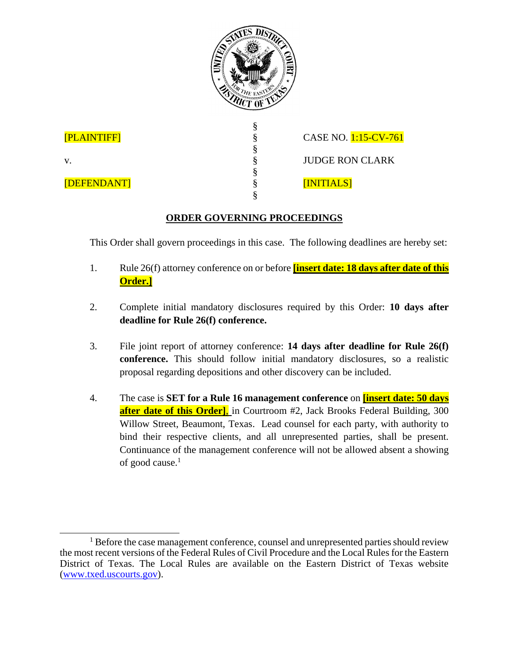

§ § § § § §

[PLAINTIFF]

v.

[DEFENDANT]

CASE NO. 1:15-CV-761 JUDGE RON CLARK [INITIALS]

## **ORDER GOVERNING PROCEEDINGS**

This Order shall govern proceedings in this case. The following deadlines are hereby set:

- 1. Rule 26(f) attorney conference on or before **[insert date: 18 days after date of this Order.]**
- 2. Complete initial mandatory disclosures required by this Order: **10 days after deadline for Rule 26(f) conference.**
- 3. File joint report of attorney conference: **14 days after deadline for Rule 26(f) conference.** This should follow initial mandatory disclosures, so a realistic proposal regarding depositions and other discovery can be included.
- 4. The case is **SET for a Rule 16 management conference** on **[insert date: 50 days after date of this Order]**, in Courtroom #2, Jack Brooks Federal Building, 300 Willow Street, Beaumont, Texas. Lead counsel for each party, with authority to bind their respective clients, and all unrepresented parties, shall be present. Continuance of the management conference will not be allowed absent a showing of good cause. $<sup>1</sup>$ </sup>

 $\overline{a}$ <sup>1</sup> Before the case management conference, counsel and unrepresented parties should review the most recent versions of the Federal Rules of Civil Procedure and the Local Rules for the Eastern District of Texas. The Local Rules are available on the Eastern District of Texas website (www.txed.uscourts.gov).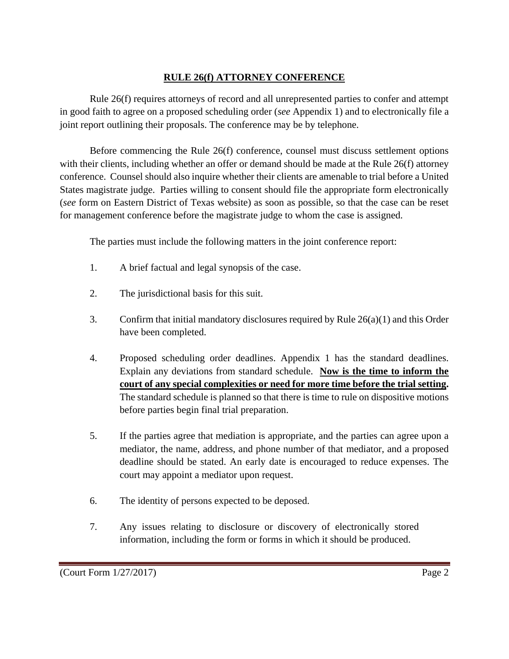#### **RULE 26(f) ATTORNEY CONFERENCE**

Rule 26(f) requires attorneys of record and all unrepresented parties to confer and attempt in good faith to agree on a proposed scheduling order (*see* Appendix 1) and to electronically file a joint report outlining their proposals. The conference may be by telephone.

Before commencing the Rule 26(f) conference, counsel must discuss settlement options with their clients, including whether an offer or demand should be made at the Rule 26(f) attorney conference. Counsel should also inquire whether their clients are amenable to trial before a United States magistrate judge. Parties willing to consent should file the appropriate form electronically (*see* form on Eastern District of Texas website) as soon as possible, so that the case can be reset for management conference before the magistrate judge to whom the case is assigned.

The parties must include the following matters in the joint conference report:

- 1. A brief factual and legal synopsis of the case.
- 2. The jurisdictional basis for this suit.
- 3. Confirm that initial mandatory disclosures required by Rule 26(a)(1) and this Order have been completed.
- 4. Proposed scheduling order deadlines. Appendix 1 has the standard deadlines. Explain any deviations from standard schedule. **Now is the time to inform the court of any special complexities or need for more time before the trial setting.**  The standard schedule is planned so that there is time to rule on dispositive motions before parties begin final trial preparation.
- 5. If the parties agree that mediation is appropriate, and the parties can agree upon a mediator, the name, address, and phone number of that mediator, and a proposed deadline should be stated. An early date is encouraged to reduce expenses. The court may appoint a mediator upon request.
- 6. The identity of persons expected to be deposed.
- 7. Any issues relating to disclosure or discovery of electronically stored information, including the form or forms in which it should be produced.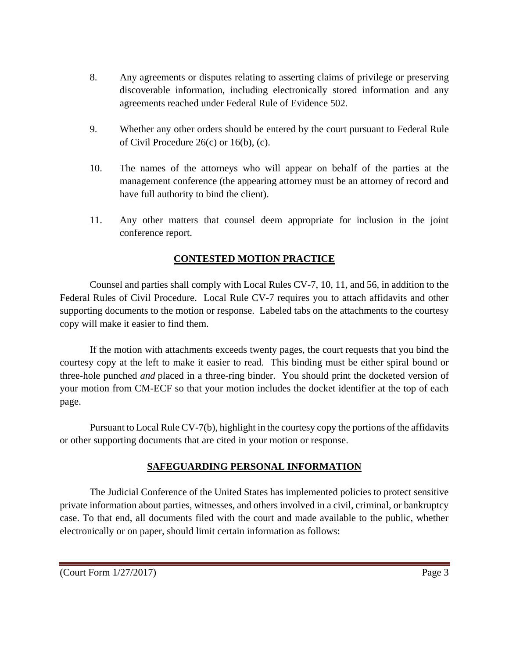- 8. Any agreements or disputes relating to asserting claims of privilege or preserving discoverable information, including electronically stored information and any agreements reached under Federal Rule of Evidence 502.
- 9. Whether any other orders should be entered by the court pursuant to Federal Rule of Civil Procedure 26(c) or 16(b), (c).
- 10. The names of the attorneys who will appear on behalf of the parties at the management conference (the appearing attorney must be an attorney of record and have full authority to bind the client).
- 11. Any other matters that counsel deem appropriate for inclusion in the joint conference report.

#### **CONTESTED MOTION PRACTICE**

Counsel and parties shall comply with Local Rules CV-7, 10, 11, and 56, in addition to the Federal Rules of Civil Procedure. Local Rule CV-7 requires you to attach affidavits and other supporting documents to the motion or response. Labeled tabs on the attachments to the courtesy copy will make it easier to find them.

If the motion with attachments exceeds twenty pages, the court requests that you bind the courtesy copy at the left to make it easier to read. This binding must be either spiral bound or three-hole punched *and* placed in a three-ring binder. You should print the docketed version of your motion from CM-ECF so that your motion includes the docket identifier at the top of each page.

Pursuant to Local Rule CV-7(b), highlight in the courtesy copy the portions of the affidavits or other supporting documents that are cited in your motion or response.

#### **SAFEGUARDING PERSONAL INFORMATION**

The Judicial Conference of the United States has implemented policies to protect sensitive private information about parties, witnesses, and others involved in a civil, criminal, or bankruptcy case. To that end, all documents filed with the court and made available to the public, whether electronically or on paper, should limit certain information as follows: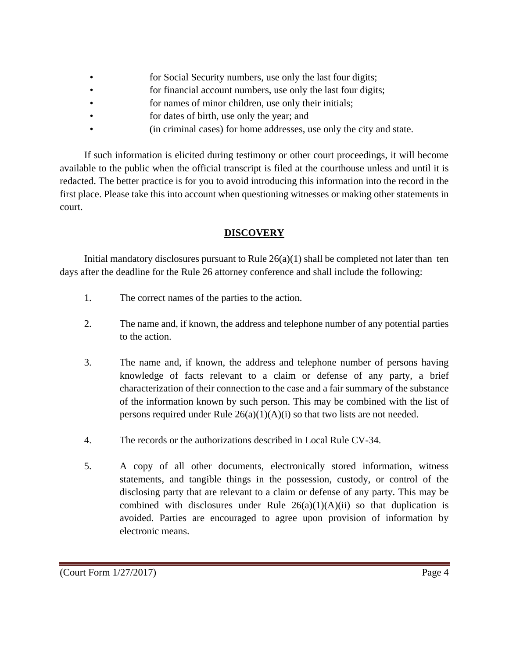- **for Social Security numbers, use only the last four digits;**
- **for financial account numbers, use only the last four digits;**
- for names of minor children, use only their initials;
- for dates of birth, use only the year; and
- (in criminal cases) for home addresses, use only the city and state.

If such information is elicited during testimony or other court proceedings, it will become available to the public when the official transcript is filed at the courthouse unless and until it is redacted. The better practice is for you to avoid introducing this information into the record in the first place. Please take this into account when questioning witnesses or making other statements in court.

#### **DISCOVERY**

Initial mandatory disclosures pursuant to Rule  $26(a)(1)$  shall be completed not later than ten days after the deadline for the Rule 26 attorney conference and shall include the following:

- 1. The correct names of the parties to the action.
- 2. The name and, if known, the address and telephone number of any potential parties to the action.
- 3. The name and, if known, the address and telephone number of persons having knowledge of facts relevant to a claim or defense of any party, a brief characterization of their connection to the case and a fair summary of the substance of the information known by such person. This may be combined with the list of persons required under Rule  $26(a)(1)(A)(i)$  so that two lists are not needed.
- 4. The records or the authorizations described in Local Rule CV-34.
- 5. A copy of all other documents, electronically stored information, witness statements, and tangible things in the possession, custody, or control of the disclosing party that are relevant to a claim or defense of any party. This may be combined with disclosures under Rule  $26(a)(1)(A)(ii)$  so that duplication is avoided. Parties are encouraged to agree upon provision of information by electronic means.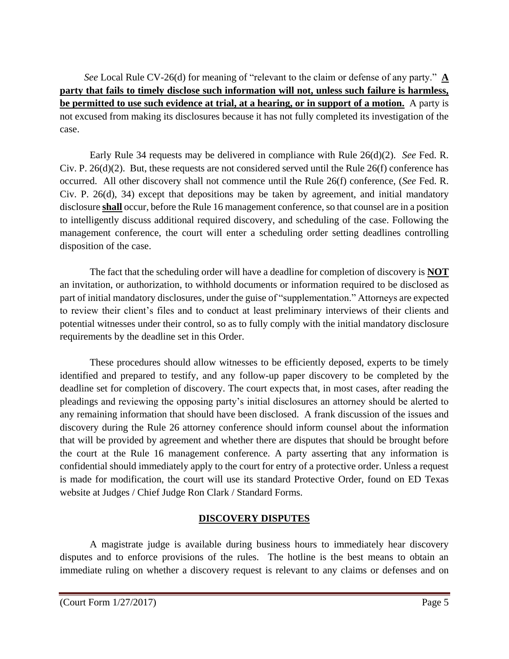*See* Local Rule CV-26(d) for meaning of "relevant to the claim or defense of any party." **A party that fails to timely disclose such information will not, unless such failure is harmless, be permitted to use such evidence at trial, at a hearing, or in support of a motion.** A party is not excused from making its disclosures because it has not fully completed its investigation of the case.

Early Rule 34 requests may be delivered in compliance with Rule 26(d)(2). *See* Fed. R. Civ. P. 26(d)(2). But, these requests are not considered served until the Rule 26(f) conference has occurred. All other discovery shall not commence until the Rule 26(f) conference, (*See* Fed. R. Civ. P. 26(d), 34) except that depositions may be taken by agreement, and initial mandatory disclosure **shall** occur, before the Rule 16 management conference, so that counsel are in a position to intelligently discuss additional required discovery, and scheduling of the case. Following the management conference, the court will enter a scheduling order setting deadlines controlling disposition of the case.

The fact that the scheduling order will have a deadline for completion of discovery is **NOT** an invitation, or authorization, to withhold documents or information required to be disclosed as part of initial mandatory disclosures, under the guise of "supplementation." Attorneys are expected to review their client's files and to conduct at least preliminary interviews of their clients and potential witnesses under their control, so as to fully comply with the initial mandatory disclosure requirements by the deadline set in this Order.

These procedures should allow witnesses to be efficiently deposed, experts to be timely identified and prepared to testify, and any follow-up paper discovery to be completed by the deadline set for completion of discovery. The court expects that, in most cases, after reading the pleadings and reviewing the opposing party's initial disclosures an attorney should be alerted to any remaining information that should have been disclosed. A frank discussion of the issues and discovery during the Rule 26 attorney conference should inform counsel about the information that will be provided by agreement and whether there are disputes that should be brought before the court at the Rule 16 management conference. A party asserting that any information is confidential should immediately apply to the court for entry of a protective order. Unless a request is made for modification, the court will use its standard Protective Order, found on ED Texas website at Judges / Chief Judge Ron Clark / Standard Forms.

#### **DISCOVERY DISPUTES**

A magistrate judge is available during business hours to immediately hear discovery disputes and to enforce provisions of the rules. The hotline is the best means to obtain an immediate ruling on whether a discovery request is relevant to any claims or defenses and on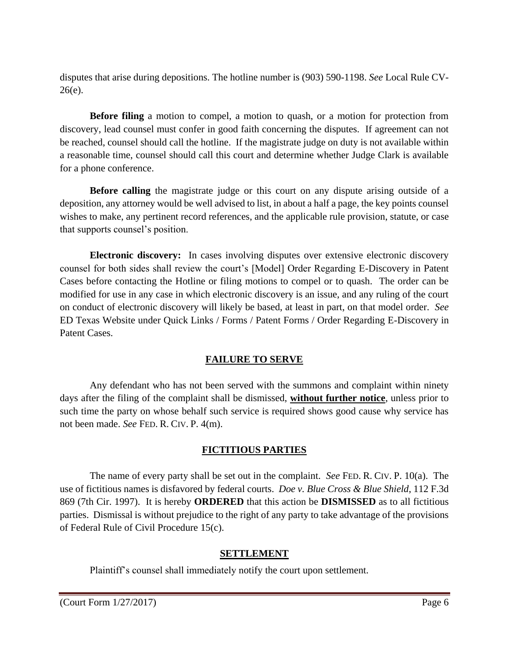disputes that arise during depositions. The hotline number is (903) 590-1198. *See* Local Rule CV-26(e).

**Before filing** a motion to compel, a motion to quash, or a motion for protection from discovery, lead counsel must confer in good faith concerning the disputes. If agreement can not be reached, counsel should call the hotline. If the magistrate judge on duty is not available within a reasonable time, counsel should call this court and determine whether Judge Clark is available for a phone conference.

**Before calling** the magistrate judge or this court on any dispute arising outside of a deposition, any attorney would be well advised to list, in about a half a page, the key points counsel wishes to make, any pertinent record references, and the applicable rule provision, statute, or case that supports counsel's position.

**Electronic discovery:** In cases involving disputes over extensive electronic discovery counsel for both sides shall review the court's [Model] Order Regarding E-Discovery in Patent Cases before contacting the Hotline or filing motions to compel or to quash. The order can be modified for use in any case in which electronic discovery is an issue, and any ruling of the court on conduct of electronic discovery will likely be based, at least in part, on that model order. *See*  ED Texas Website under Quick Links / Forms / Patent Forms / Order Regarding E-Discovery in Patent Cases.

## **FAILURE TO SERVE**

Any defendant who has not been served with the summons and complaint within ninety days after the filing of the complaint shall be dismissed, **without further notice**, unless prior to such time the party on whose behalf such service is required shows good cause why service has not been made. *See* FED. R. CIV. P. 4(m).

## **FICTITIOUS PARTIES**

The name of every party shall be set out in the complaint. *See* FED. R. CIV. P. 10(a). The use of fictitious names is disfavored by federal courts. *Doe v. Blue Cross & Blue Shield*, 112 F.3d 869 (7th Cir. 1997). It is hereby **ORDERED** that this action be **DISMISSED** as to all fictitious parties. Dismissal is without prejudice to the right of any party to take advantage of the provisions of Federal Rule of Civil Procedure 15(c).

## **SETTLEMENT**

Plaintiff's counsel shall immediately notify the court upon settlement.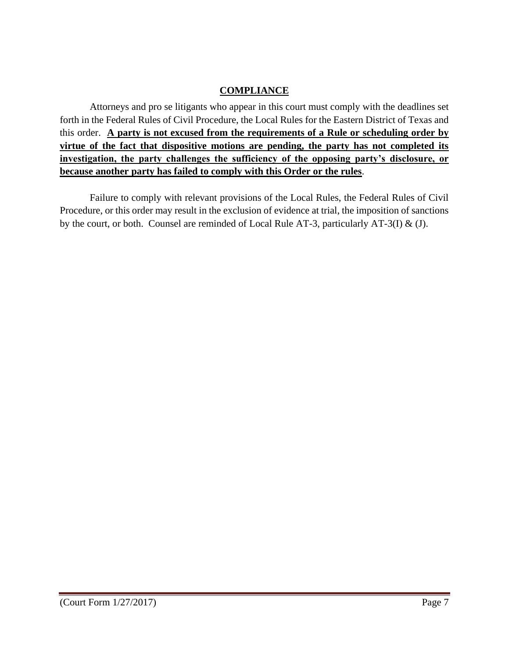#### **COMPLIANCE**

Attorneys and pro se litigants who appear in this court must comply with the deadlines set forth in the Federal Rules of Civil Procedure, the Local Rules for the Eastern District of Texas and this order. **A party is not excused from the requirements of a Rule or scheduling order by virtue of the fact that dispositive motions are pending, the party has not completed its investigation, the party challenges the sufficiency of the opposing party's disclosure, or because another party has failed to comply with this Order or the rules**.

Failure to comply with relevant provisions of the Local Rules, the Federal Rules of Civil Procedure, or this order may result in the exclusion of evidence at trial, the imposition of sanctions by the court, or both. Counsel are reminded of Local Rule AT-3, particularly AT-3(I)  $\&$  (J).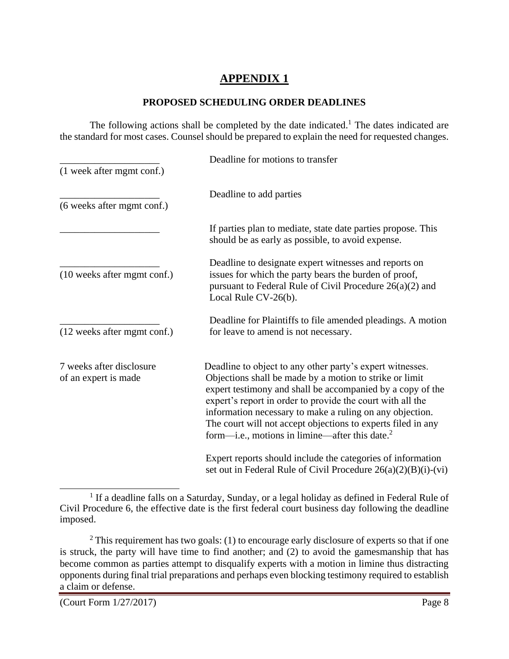# **APPENDIX 1**

#### **PROPOSED SCHEDULING ORDER DEADLINES**

The following actions shall be completed by the date indicated.<sup>1</sup> The dates indicated are the standard for most cases. Counsel should be prepared to explain the need for requested changes.

|                                                  | Deadline for motions to transfer                                                                                                                                                                                                                                                                                                                                                                                                  |
|--------------------------------------------------|-----------------------------------------------------------------------------------------------------------------------------------------------------------------------------------------------------------------------------------------------------------------------------------------------------------------------------------------------------------------------------------------------------------------------------------|
| (1 week after mgmt conf.)                        |                                                                                                                                                                                                                                                                                                                                                                                                                                   |
| (6 weeks after mgmt conf.)                       | Deadline to add parties                                                                                                                                                                                                                                                                                                                                                                                                           |
|                                                  | If parties plan to mediate, state date parties propose. This<br>should be as early as possible, to avoid expense.                                                                                                                                                                                                                                                                                                                 |
| (10 weeks after mgmt conf.)                      | Deadline to designate expert witnesses and reports on<br>issues for which the party bears the burden of proof,<br>pursuant to Federal Rule of Civil Procedure $26(a)(2)$ and<br>Local Rule CV-26(b).                                                                                                                                                                                                                              |
| (12 weeks after mgmt conf.)                      | Deadline for Plaintiffs to file amended pleadings. A motion<br>for leave to amend is not necessary.                                                                                                                                                                                                                                                                                                                               |
| 7 weeks after disclosure<br>of an expert is made | Deadline to object to any other party's expert witnesses.<br>Objections shall be made by a motion to strike or limit<br>expert testimony and shall be accompanied by a copy of the<br>expert's report in order to provide the court with all the<br>information necessary to make a ruling on any objection.<br>The court will not accept objections to experts filed in any<br>form—i.e., motions in limine—after this date. $2$ |
|                                                  | Expert reports should include the categories of information<br>set out in Federal Rule of Civil Procedure $26(a)(2)(B)(i)-(vi)$                                                                                                                                                                                                                                                                                                   |

 $\overline{a}$ <sup>1</sup> If a deadline falls on a Saturday, Sunday, or a legal holiday as defined in Federal Rule of Civil Procedure 6, the effective date is the first federal court business day following the deadline imposed.

 $2$  This requirement has two goals: (1) to encourage early disclosure of experts so that if one is struck, the party will have time to find another; and (2) to avoid the gamesmanship that has become common as parties attempt to disqualify experts with a motion in limine thus distracting opponents during final trial preparations and perhaps even blocking testimony required to establish a claim or defense.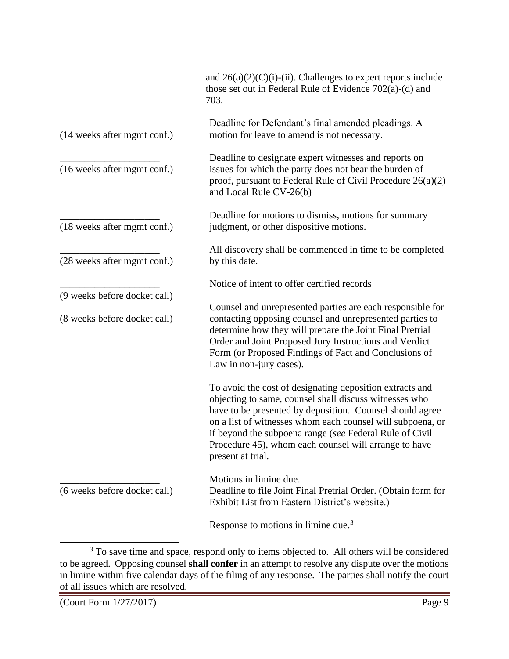|                                                              | and $26(a)(2)(C)(i)$ -(ii). Challenges to expert reports include<br>those set out in Federal Rule of Evidence 702(a)-(d) and<br>703.                                                                                                                                                                                                                                                  |
|--------------------------------------------------------------|---------------------------------------------------------------------------------------------------------------------------------------------------------------------------------------------------------------------------------------------------------------------------------------------------------------------------------------------------------------------------------------|
| (14 weeks after mgmt conf.)                                  | Deadline for Defendant's final amended pleadings. A<br>motion for leave to amend is not necessary.                                                                                                                                                                                                                                                                                    |
| (16 weeks after mgmt conf.)                                  | Deadline to designate expert witnesses and reports on<br>issues for which the party does not bear the burden of<br>proof, pursuant to Federal Rule of Civil Procedure $26(a)(2)$<br>and Local Rule CV-26(b)                                                                                                                                                                           |
| (18 weeks after mgmt conf.)                                  | Deadline for motions to dismiss, motions for summary<br>judgment, or other dispositive motions.                                                                                                                                                                                                                                                                                       |
| (28 weeks after mgmt conf.)                                  | All discovery shall be commenced in time to be completed<br>by this date.                                                                                                                                                                                                                                                                                                             |
|                                                              | Notice of intent to offer certified records                                                                                                                                                                                                                                                                                                                                           |
| (9 weeks before docket call)<br>(8 weeks before docket call) | Counsel and unrepresented parties are each responsible for<br>contacting opposing counsel and unrepresented parties to<br>determine how they will prepare the Joint Final Pretrial<br>Order and Joint Proposed Jury Instructions and Verdict<br>Form (or Proposed Findings of Fact and Conclusions of<br>Law in non-jury cases).                                                      |
|                                                              | To avoid the cost of designating deposition extracts and<br>objecting to same, counsel shall discuss witnesses who<br>have to be presented by deposition. Counsel should agree<br>on a list of witnesses whom each counsel will subpoena, or<br>if beyond the subpoena range (see Federal Rule of Civil<br>Procedure 45), whom each counsel will arrange to have<br>present at trial. |
| (6 weeks before docket call)                                 | Motions in limine due.<br>Deadline to file Joint Final Pretrial Order. (Obtain form for<br>Exhibit List from Eastern District's website.)                                                                                                                                                                                                                                             |
|                                                              | Response to motions in limine due. <sup>3</sup>                                                                                                                                                                                                                                                                                                                                       |

<sup>&</sup>lt;sup>3</sup> To save time and space, respond only to items objected to. All others will be considered to be agreed. Opposing counsel **shall confer** in an attempt to resolve any dispute over the motions in limine within five calendar days of the filing of any response. The parties shall notify the court of all issues which are resolved.

 $\overline{\phantom{a}}$